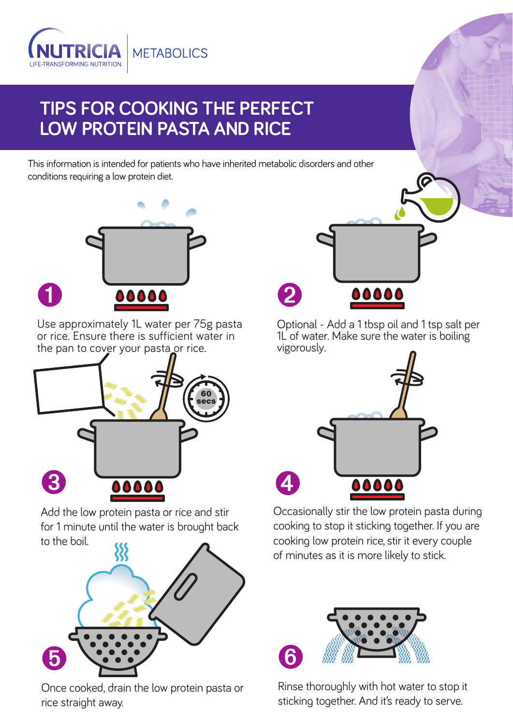

## **TIPS FOR COOKING THE PERFECT LOW PROTEIN PASTA AND RICE**

This information is intended for patients who have inherited metabolic disorders and other conditions requiring a low protein diet.



Use approximately 1L water per 75g pasta or rice. Ensure there is sufficient water in the pan to cover your pasta or rice.

➊



Add the low protein pasta or rice and stir for 1 minute until the water is brought back to the boil.



Once cooked, drain the low protein pasta or rice straight away.



G

Optional - Add a 1 tbsp oil and 1 tsp salt per 1L of water. Make sure the water is boiling vigorously.



Occasionally stir the low protein pasta during cooking to stop it sticking together. If you are cooking low protein rice, stir it every couple of minutes as it is more likely to stick.



Rinse thoroughly with hot water to stop it sticking together. And it's ready to serve.